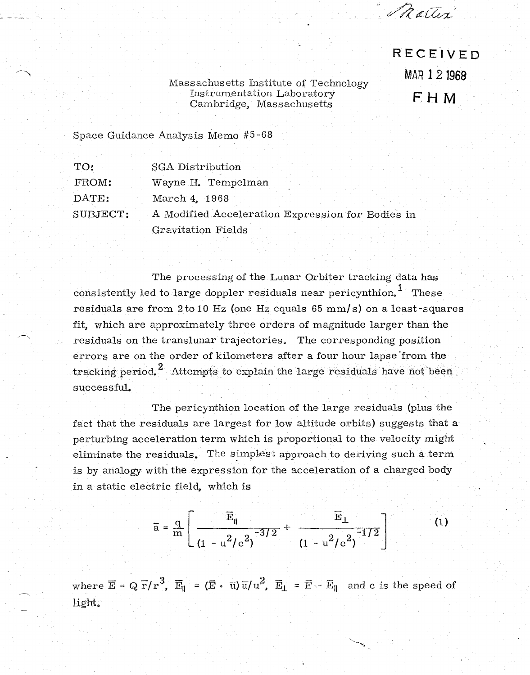Nortin

RECEIVED MAR 1 2 **1968 F H M** 

Massachusetts Institute of Technology Instrumentation Laboratory Cambridge, Massachusetts

Space Guidance Analysis Memo #5-68

| TO:      | SGA Distribution                                 |
|----------|--------------------------------------------------|
| FROM:    | Wayne H. Tempelman                               |
| DATE:    | March 4, 1968                                    |
| SUBJECT: | A Modified Acceleration Expression for Bodies in |
|          | Gravitation Fields                               |

The processing of the Lunar Orbiter tracking data has consistently led to large doppler residuals near pericynthion.<sup>1</sup> These residuals are from 2 to 10 Hz (one Hz equals 65 mm/s) on a least-squares fit, which are approximately three orders of magnitude larger than the residuals on the translunar trajectories. The corresponding position errors are on the order of kilometers after a four hour lapse from the tracking period.<sup>2</sup> Attempts to explain the large residuals have not been successful.

The pericynthion location of the large residuals (plus the fact that the residuals are largest for low altitude orbits) suggests that a perturbing acceleration term which is proportional to the velocity might eliminate the residuals. The simplest approach to deriving such a term is by analogy with the expression for the acceleration of a charged body in a static electric field, which is

$$
\bar{a} = \frac{q}{m} \left[ \frac{\bar{E}_{\parallel}}{(1 - u^2/c^2)^{-3/2}} + \frac{\bar{E}_{\perp}}{(1 - u^2/c^2)^{-1/2}} \right]
$$
(1)

where  $\overline{E} = Q \overline{r}/r^3$ ,  $\overline{E}_{\parallel} = (\overline{E} \cdot \overline{u}) \overline{u}/u^2$ ,  $\overline{E}_{\perp} = \overline{E} - \overline{E}_{\parallel}$  and c is the speed of light,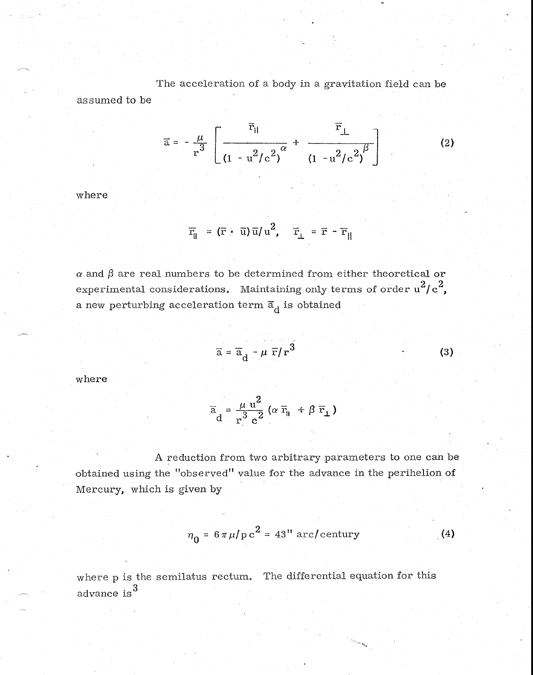The acceleration of a body in a gravitation field can be assumed to be

$$
\overline{a} = -\frac{\mu}{r^3} \left[ \frac{\overline{r}_{||}}{(1 - u^2/c^2)} + \frac{\overline{r}_{\perp}}{(1 - u^2/c^2)} \right]
$$
 (2)

where

$$
\overline{r}_{\parallel} = (\overline{r} \cdot \overline{u}) \overline{u}/u^2, \quad \overline{r}_{\perp} = \overline{r} - \overline{r}_{\parallel}
$$

 $\alpha$  and  $\beta$  are real numbers to be determined from either theoretical or experimental considerations. Maintaining only terms of order  $u^2/c^2$ , a new perturbing acceleration term  $\overline{a}_{d}$  is obtained

$$
\overline{a} = \overline{a}_{d} - \mu \ \overline{r}/r^{3}
$$
 (3)

where

$$
\overline{a}_{d} = \frac{\mu u^2}{r^3 c^2} (\alpha \overline{r}_{||} + \beta \overline{r}_{\perp})
$$

A reduction from two arbitrary parameters to one can be obtained using the "observed" value for the advance in the perihelion of Mercury, which is given by

$$
\eta_0 = 6\pi\mu/\text{pc}^2 = 43'' \text{ arc/century}
$$
 (4)

where p is the semilatus rectum. The differential equation for this advance is 3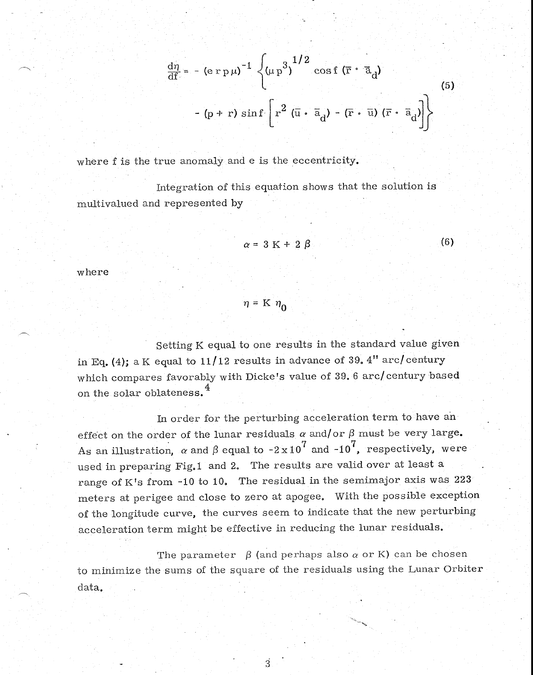$$
\frac{d\eta}{dt} = -(\exp \mu)^{-1} \left\{ (\mu p^3)^{1/2} \cos f (\overline{r} \cdot \overline{a}_d) - (\overline{p} + r) \sin f \left[ r^2 (\overline{u} \cdot \overline{a}_d) - (\overline{r} \cdot \overline{u}) (\overline{r} \cdot \overline{a}_d) \right] \right\}
$$
(5)

where f is the true anomaly and e is the eccentricity.

Integration of this equation shows that the solution is multivalued and represented by

$$
\alpha = 3 \text{ K} + 2 \beta \tag{6}
$$

where

 $\eta$  = K  $\eta_0$ 

Setting K equal to one results in the standard value given in Eq. (4); a K equal to 11/12 results in advance of 39.4" arc/century which compares favorably with Dicke's value of 39. 6 arc/century based on the solar oblateness.<sup>4</sup>

In order for the perturbing acceleration term to have an effect on the order of the lunar residuals  $\alpha$  and/or  $\beta$  must be very large. As an illustration,  $\alpha$  and  $\beta$  equal to  $-2 \times 10^7$  and  $-10^7$ , respectively, were used in preparing Fig.1 and 2. The results are valid over at least a range of K's from -10 to 10. The residual in the semimajor axis was 223 meters at perigee and close to zero at apogee. With the possible exception of the longitude curve, the curves seem to indicate that the new perturbing acceleration term might be effective in reducing the lunar residuals.

The parameter  $\beta$  (and perhaps also  $\alpha$  or K) can be chosen to minimize the sums of the square of the residuals using the Lunar Orbiter data.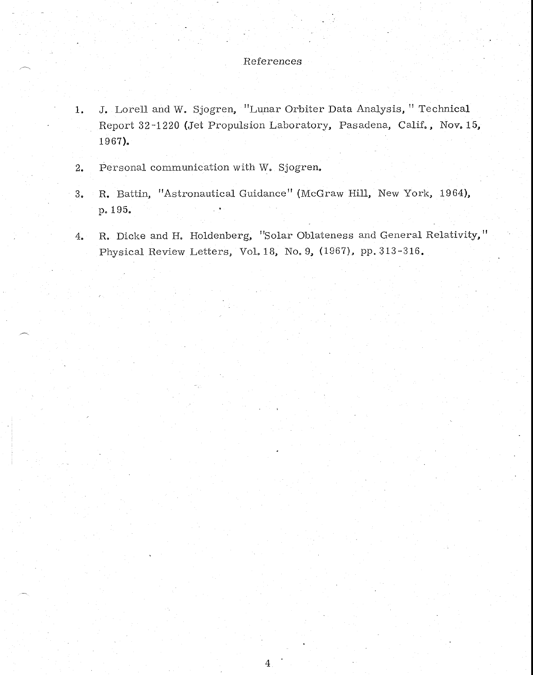## References

- 1. J. Lore11 and W. Sjogren, "Lunar Orbiter Data Analysis, " Technical Report 32-1220 (Jet Propulsion Laboratory, Pasadena, Calif., Nov. 15, 1967),
- 2. Personal communication with W. Sjogren,
- 3, R. Battin, "Astronautical Guidance" (McGraw Hill, New York, 1964), p. 195.
- 4, R. Dicke and H. Holdenberg, "Solar Oblateness and General Relativity," Physical Review Letters, Vol. 18, No. 9, (1967), pp. 313-316.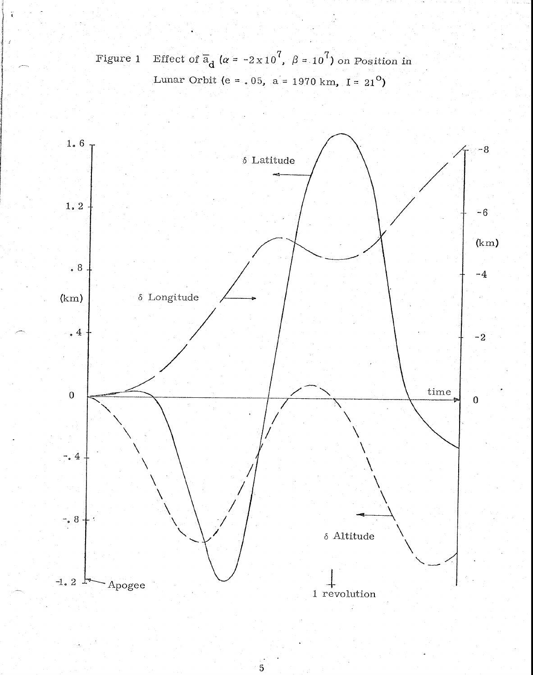Effect of  $\overline{a}_{d}$  ( $\alpha$  = -2x10<sup>7</sup>,  $\beta$  = 10<sup>7</sup>) on Position in Figure 1 Lunar Orbit (e = .05, a = 1970 km, I =  $21^{\circ}$ )



 $\overline{\mathbf{5}}$